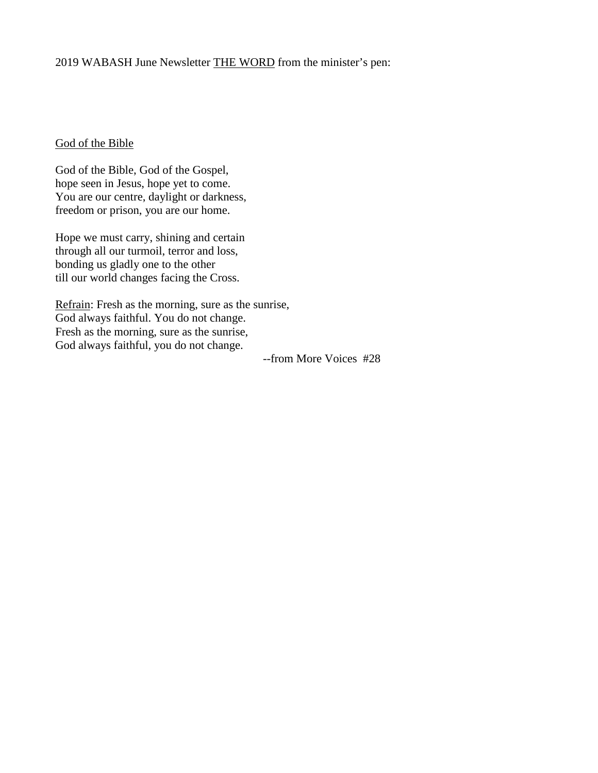## God of the Bible

God of the Bible, God of the Gospel, hope seen in Jesus, hope yet to come. You are our centre, daylight or darkness, freedom or prison, you are our home.

Hope we must carry, shining and certain through all our turmoil, terror and loss, bonding us gladly one to the other till our world changes facing the Cross.

Refrain: Fresh as the morning, sure as the sunrise, God always faithful. You do not change. Fresh as the morning, sure as the sunrise, God always faithful, you do not change.

--from More Voices #28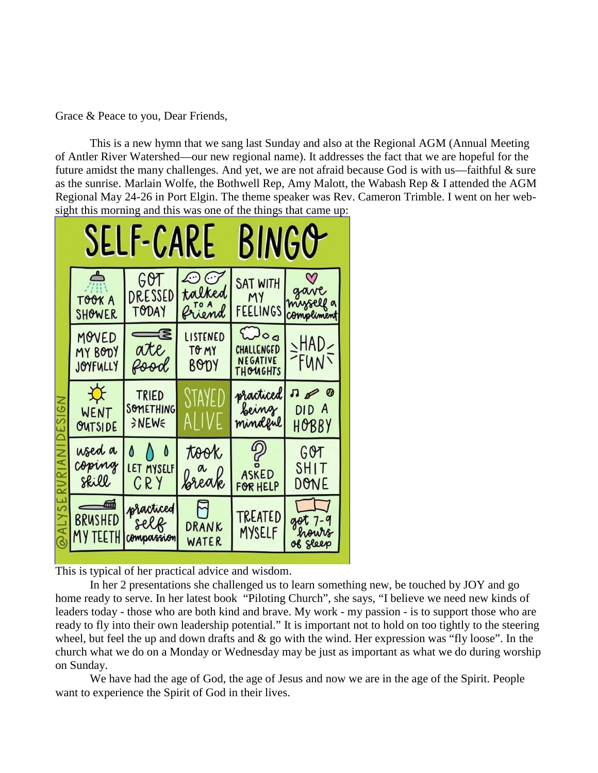Grace & Peace to you, Dear Friends,

This is a new hymn that we sang last Sunday and also at the Regional AGM (Annual Meeting of Antler River Watershed—our new regional name). It addresses the fact that we are hopeful for the future amidst the many challenges. And yet, we are not afraid because God is with us—faithful & sure as the sunrise. Marlain Wolfe, the Bothwell Rep, Amy Malott, the Wabash Rep & I attended the AGM Regional May 24-26 in Port Elgin. The theme speaker was Rev. Cameron Trimble. I went on her websight this morning and this was one of the things that came up:



This is typical of her practical advice and wisdom.

In her 2 presentations she challenged us to learn something new, be touched by JOY and go home ready to serve. In her latest book "Piloting Church", she says, "I believe we need new kinds of leaders today - those who are both kind and brave. My work - my passion - is to support those who are ready to fly into their own leadership potential." It is important not to hold on too tightly to the steering wheel, but feel the up and down drafts and & go with the wind. Her expression was "fly loose". In the church what we do on a Monday or Wednesday may be just as important as what we do during worship on Sunday.

We have had the age of God, the age of Jesus and now we are in the age of the Spirit. People want to experience the Spirit of God in their lives.